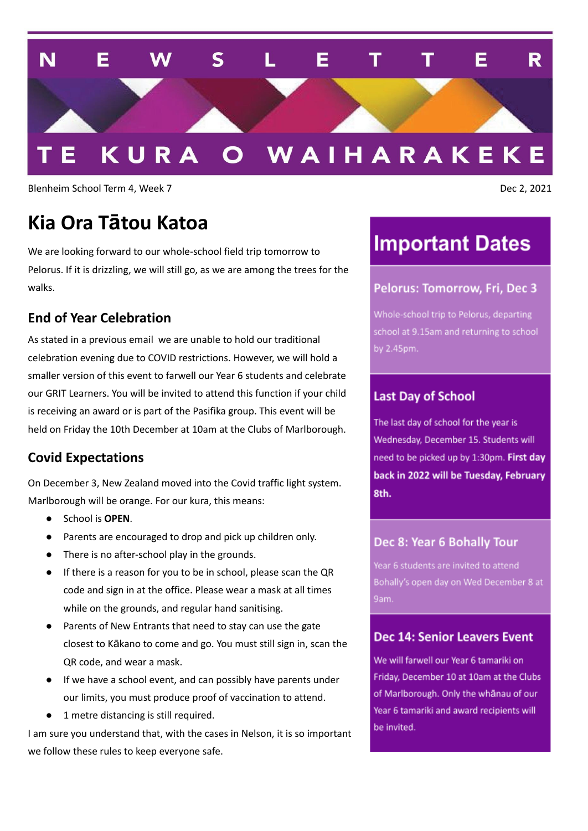

Blenheim School Term 4, Week 7 Dec 2, 2021

## **Kia Ora Tātou Katoa**

We are looking forward to our whole-school field trip tomorrow to Pelorus. If it is drizzling, we will still go, as we are among the trees for the walks.

#### **End of Year Celebration**

As stated in a previous email we are unable to hold our traditional celebration evening due to COVID restrictions. However, we will hold a smaller version of this event to farwell our Year 6 students and celebrate our GRIT Learners. You will be invited to attend this function if your child is receiving an award or is part of the Pasifika group. This event will be held on Friday the 10th December at 10am at the Clubs of Marlborough.

#### **Covid Expectations**

On December 3, New Zealand moved into the Covid traffic light system. Marlborough will be orange. For our kura, this means:

- School is **OPEN**.
- Parents are encouraged to drop and pick up children only.
- There is no after-school play in the grounds.
- If there is a reason for you to be in school, please scan the QR code and sign in at the office. Please wear a mask at all times while on the grounds, and regular hand sanitising.
- Parents of New Entrants that need to stay can use the gate closest to Kākano to come and go. You must still sign in, scan the QR code, and wear a mask.
- If we have a school event, and can possibly have parents under our limits, you must produce proof of vaccination to attend.
- 1 metre distancing is still required.

I am sure you understand that, with the cases in Nelson, it is so important we follow these rules to keep everyone safe.

## **Important Dates**

#### Pelorus: Tomorrow, Fri, Dec 3

Whole-school trip to Pelorus, departing school at 9.15am and returning to school by 2.45pm.

#### **Last Day of School**

The last day of school for the year is Wednesday, December 15. Students will need to be picked up by 1:30pm. First day back in 2022 will be Tuesday, February 8th.

#### Dec 8: Year 6 Bohally Tour

Bohally's open day on Wed December 8 at

#### Dec 14: Senior Leavers Event

We will farwell our Year 6 tamariki on Friday, December 10 at 10am at the Clubs of Marlborough. Only the whanau of our Year 6 tamariki and award recipients will be invited.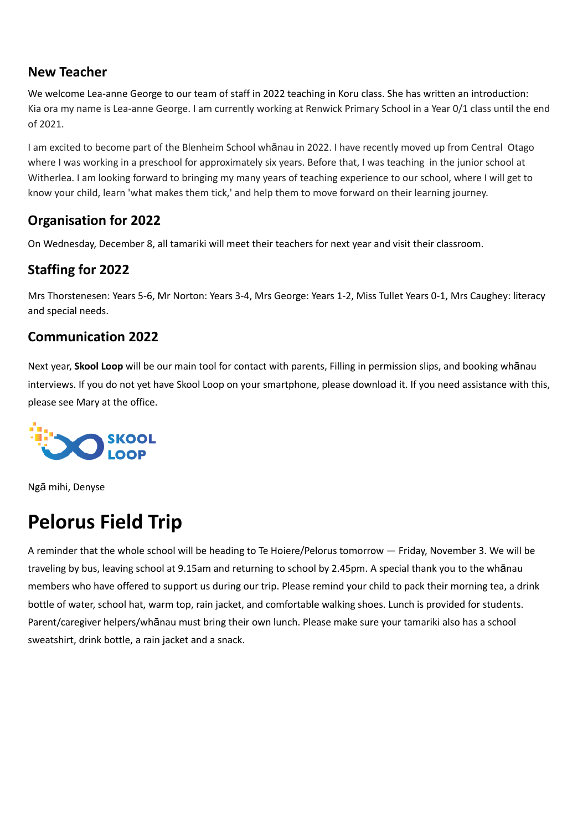### **New Teacher**

We welcome Lea-anne George to our team of staff in 2022 teaching in Koru class. She has written an introduction: Kia ora my name is Lea-anne George. I am currently working at Renwick Primary School in a Year 0/1 class until the end of 2021.

I am excited to become part of the Blenheim School whānau in 2022. I have recently moved up from Central Otago where I was working in a preschool for approximately six years. Before that, I was teaching in the junior school at Witherlea. I am looking forward to bringing my many years of teaching experience to our school, where I will get to know your child, learn 'what makes them tick,' and help them to move forward on their learning journey.

## **Organisation for 2022**

On Wednesday, December 8, all tamariki will meet their teachers for next year and visit their classroom.

## **Staffing for 2022**

Mrs Thorstenesen: Years 5-6, Mr Norton: Years 3-4, Mrs George: Years 1-2, Miss Tullet Years 0-1, Mrs Caughey: literacy and special needs.

### **Communication 2022**

Next year, **Skool Loop** will be our main tool for contact with parents, Filling in permission slips, and booking whānau interviews. If you do not yet have Skool Loop on your smartphone, please download it. If you need assistance with this, please see Mary at the office.



Ngā mihi, Denyse

# **Pelorus Field Trip**

A reminder that the whole school will be heading to Te Hoiere/Pelorus tomorrow — Friday, November 3. We will be traveling by bus, leaving school at 9.15am and returning to school by 2.45pm. A special thank you to the whānau members who have offered to support us during our trip. Please remind your child to pack their morning tea, a drink bottle of water, school hat, warm top, rain jacket, and comfortable walking shoes. Lunch is provided for students. Parent/caregiver helpers/whānau must bring their own lunch. Please make sure your tamariki also has a school sweatshirt, drink bottle, a rain jacket and a snack.